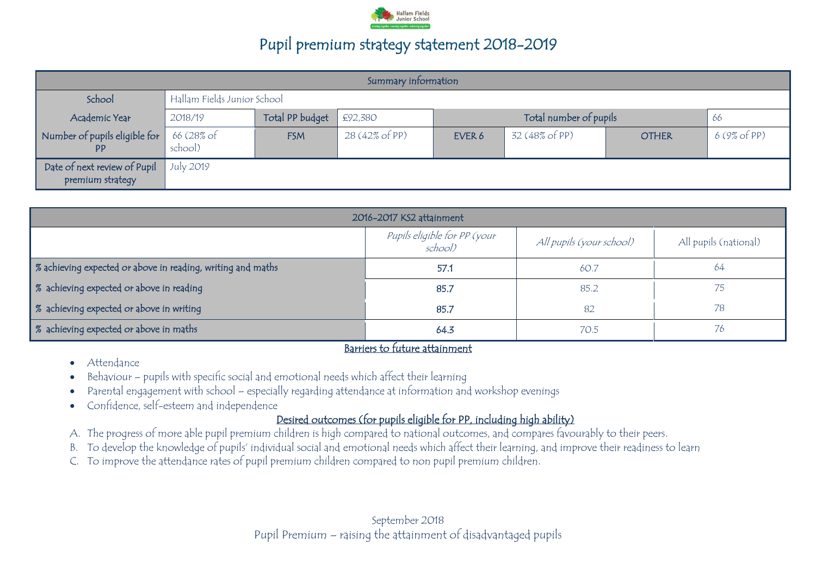

| Summary information                              |                       |                             |                |        |                        |              |             |
|--------------------------------------------------|-----------------------|-----------------------------|----------------|--------|------------------------|--------------|-------------|
| School                                           |                       | Hallam Fields Junior School |                |        |                        |              |             |
| Academic Year                                    | 2018/19               | Total PP budget             | £92,380        |        | Total number of pupils |              | 66          |
| Number of pupils eligible for<br><b>PP</b>       | 66 (28% of<br>school) | <b>FSM</b>                  | 28 (42% of PP) | EVER 6 | 32 (48% of PP)         | <b>OTHER</b> | 6(9% of PP) |
| Date of next review of Pupil<br>premium strategy | July 2019             |                             |                |        |                        |              |             |

| 2016-2017 KS2 attainment                                    |                                         |                          |                       |  |
|-------------------------------------------------------------|-----------------------------------------|--------------------------|-----------------------|--|
|                                                             | Pupils eligible for PP (your<br>school) | All pupils (your school) | All pupils (national) |  |
| % achieving expected or above in reading, writing and maths | 57.1                                    | 60.7                     | 64                    |  |
| % achieving expected or above in reading                    | 85.7                                    | 85.2                     |                       |  |
| % achieving expected or above in writing                    | 85.7                                    | 82                       | 78                    |  |
| % achieving expected or above in maths                      | 64.3                                    | 70.5                     | 76                    |  |

#### Barriers to future attainment

- Attendance
- Behaviour pupils with specific social and emotional needs which affect their learning
- Parental engagement with school especially regarding attendance at information and workshop evenings
- Confidence, self-esteem and independence

#### Desired outcomes (for pupils eligible for PP, including high ability)

- A. The progress of more able pupil premium children is high compared to national outcomes, and compares favourably to their peers.
- B. To develop the knowledge of pupils' individual social and emotional needs which affect their learning, and improve their readiness to learn
- C. To improve the attendance rates of pupil premium children compared to non pupil premium children.

September 2018 Pupil Premium – raising the attainment of disadvantaged pupils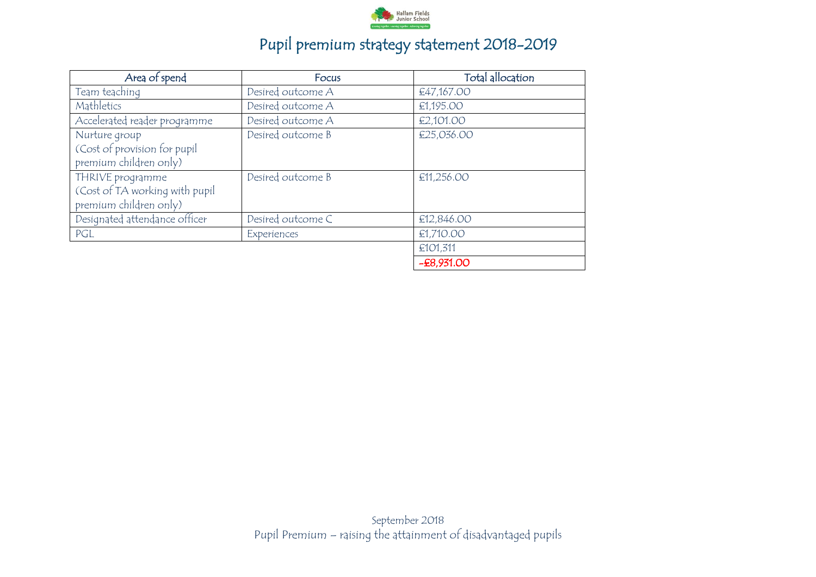

| Area of spend                                                                | Focus             | Total allocation |
|------------------------------------------------------------------------------|-------------------|------------------|
| Team teaching                                                                | Desired outcome A | €47,167.00       |
| Mathletics                                                                   | Desired outcome A | €1,195.00        |
| Accelerated reader programme                                                 | Desired outcome A | €2,101.00        |
| Nurture group<br>(Cost of provision for pupil<br>premium children only)      | Desired outcome B | €25,036.00       |
| THRIVE programme<br>(Cost of TA working with pupil<br>premium children only) | Desired outcome B | €11,256.00       |
| Designated attendance officer                                                | Desired outcome C | €12,846.00       |
| PGL                                                                          | Experiences       | €1,710.00        |
|                                                                              |                   | €101,311         |
|                                                                              |                   | $-E8,931.00$     |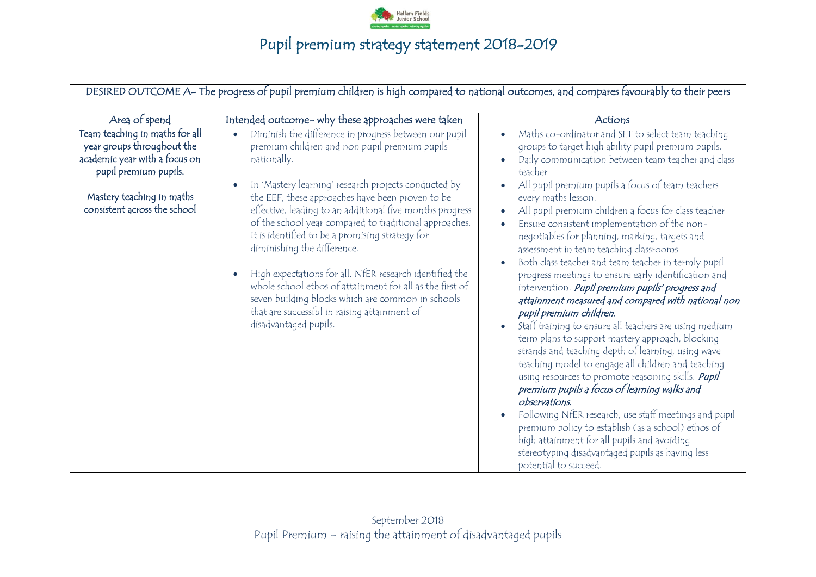

|                                                                                                                        | DESIRED OUTCOME A- The progress of pupil premium children is high compared to national outcomes, and compares favourably to their peers                                                                                                                                                                                                                                                                                                                                                                                                                               |                                                                                                                                                                                                                                                                                                                                                                                                                                                                                                                                                                                                                                                                                                                                                                                                                                                                                                                                                                                                                                                                                                                                     |
|------------------------------------------------------------------------------------------------------------------------|-----------------------------------------------------------------------------------------------------------------------------------------------------------------------------------------------------------------------------------------------------------------------------------------------------------------------------------------------------------------------------------------------------------------------------------------------------------------------------------------------------------------------------------------------------------------------|-------------------------------------------------------------------------------------------------------------------------------------------------------------------------------------------------------------------------------------------------------------------------------------------------------------------------------------------------------------------------------------------------------------------------------------------------------------------------------------------------------------------------------------------------------------------------------------------------------------------------------------------------------------------------------------------------------------------------------------------------------------------------------------------------------------------------------------------------------------------------------------------------------------------------------------------------------------------------------------------------------------------------------------------------------------------------------------------------------------------------------------|
| Area of spend                                                                                                          | Intended outcome- why these approaches were taken                                                                                                                                                                                                                                                                                                                                                                                                                                                                                                                     | Actions                                                                                                                                                                                                                                                                                                                                                                                                                                                                                                                                                                                                                                                                                                                                                                                                                                                                                                                                                                                                                                                                                                                             |
| Team teaching in maths for all<br>year groups throughout the<br>academic year with a focus on<br>pupil premium pupils. | Diminish the difference in progress between our pupil<br>$\bullet$<br>premium children and non pupil premium pupils<br>nationally.                                                                                                                                                                                                                                                                                                                                                                                                                                    | Maths co-ordinator and SLT to select team teaching<br>groups to target high ability pupil premium pupils.<br>Daily communication between team teacher and class<br>teacher                                                                                                                                                                                                                                                                                                                                                                                                                                                                                                                                                                                                                                                                                                                                                                                                                                                                                                                                                          |
| Mastery teaching in maths<br>consistent across the school                                                              | In 'Mastery learning' research projects conducted by<br>the EEF, these approaches have been proven to be<br>effective, leading to an additional five months progress<br>of the school year compared to traditional approaches.<br>It is identified to be a promising strategy for<br>diminishing the difference.<br>High expectations for all. NfER research identified the<br>whole school ethos of attainment for all as the first of<br>seven building blocks which are common in schools<br>that are successful in raising attainment of<br>disadvantaged pupils. | All pupil premium pupils a focus of team teachers<br>every maths lesson.<br>All pupil premium children a focus for class teacher<br>Ensure consistent implementation of the non-<br>negotiables for planning, marking, targets and<br>assessment in team teaching classrooms<br>Both class teacher and team teacher in termly pupil<br>progress meetings to ensure early identification and<br>intervention. Pupil premium pupils' progress and<br>attainment measured and compared with national non<br>pupil premium children.<br>Staff training to ensure all teachers are using medium<br>term plans to support mastery approach, blocking<br>strands and teaching depth of learning, using wave<br>teaching model to engage all children and teaching<br>using resources to promote reasoning skills. <i>Pupil</i><br>premium pupils a focus of learning walks and<br>observations.<br>Following NfER research, use staff meetings and pupil<br>premium policy to establish (as a school) ethos of<br>high attainment for all pupils and avoiding<br>stereotyping disadvantaged pupils as having less<br>potential to succeed. |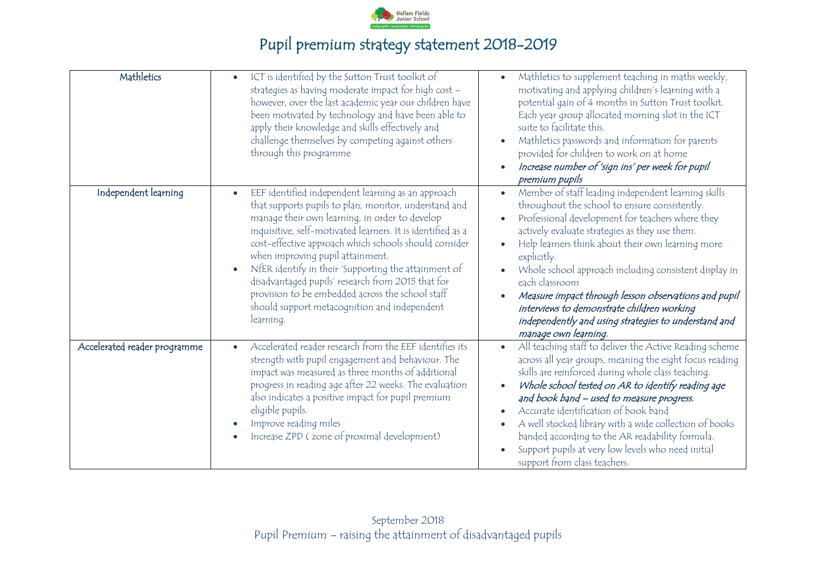

| Mathletics                   | ICT is identified by the Sutton Trust toolkit of<br>$\bullet$<br>strategies as having moderate impact for high cost -<br>however, over the last academic year our children have<br>been motivated by technology and have been able to<br>apply their knowledge and skills effectively and<br>challenge themselves by competing against others<br>through this programme                                                                                                                                                                                              | Mathletics to supplement teaching in maths weekly,<br>motivating and applying children's learning with a<br>potential gain of 4 months in Sutton Trust toolkit.<br>Each year group allocated morning slot in the ICT<br>suite to facilitate this.<br>Mathletics passwords and information for parents<br>provided for children to work on at home<br>Increase number of 'sign ins' per week for pupil<br>premium pupils                                                                                                                                      |
|------------------------------|----------------------------------------------------------------------------------------------------------------------------------------------------------------------------------------------------------------------------------------------------------------------------------------------------------------------------------------------------------------------------------------------------------------------------------------------------------------------------------------------------------------------------------------------------------------------|--------------------------------------------------------------------------------------------------------------------------------------------------------------------------------------------------------------------------------------------------------------------------------------------------------------------------------------------------------------------------------------------------------------------------------------------------------------------------------------------------------------------------------------------------------------|
| Independent learning         | EEF identified independent learning as an approach<br>$\bullet$<br>that supports pupils to plan, monitor, understand and<br>manage their own learning, in order to develop<br>inquisitive, self-motivated learners. It is identified as a<br>cost-effective approach which schools should consider<br>when improving pupil attainment.<br>NfER identify in their 'Supporting the attainment of<br>disadvantaged pupils' research from 2015 that for<br>provision to be embedded across the school staff<br>should support metacognition and independent<br>learning. | Member of staff leading independent learning skills<br>$\bullet$<br>throughout the school to ensure consistently.<br>Professional development for teachers where they<br>actively evaluate strategies as they use them.<br>Help learners think about their own learning more<br>explicitly.<br>Whole school approach including consistent display in<br>each classroom<br>Measure impact through lesson observations and pupil<br>interviews to demonstrate children working<br>independently and using strategies to understand and<br>manage own learning. |
| Accelerated reader programme | Accelerated reader research from the EEF identifies its<br>$\bullet$<br>strength with pupil engagement and behaviour. The<br>impact was measured as three months of additional<br>progress in reading age after 22 weeks. The evaluation<br>also indicates a positive impact for pupil premium<br>eligible pupils.<br>Improve reading miles<br>Increase ZPD (zone of proximal development)                                                                                                                                                                           | All teaching staff to deliver the Active Reading scheme<br>across all year groups, meaning the eight focus reading<br>skills are reinforced during whole class teaching.<br>Whole school tested on AR to identify reading age<br>and book band - used to measure progress.<br>Accurate identification of book band<br>A well stocked library with a wide collection of books<br>banded according to the AR readability formula.<br>Support pupils at very low levels who need initial<br>support from class teachers.                                        |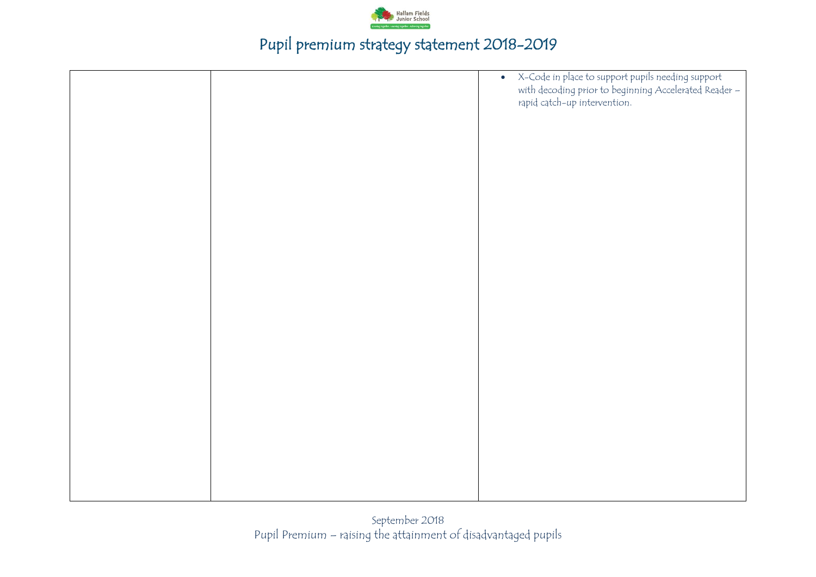

|  | • X-Code in place to support pupils needing support<br>with decoding prior to beginning Accelerated Reader –<br>rapid catch-up intervention. |
|--|----------------------------------------------------------------------------------------------------------------------------------------------|
|  |                                                                                                                                              |
|  |                                                                                                                                              |
|  |                                                                                                                                              |
|  |                                                                                                                                              |
|  |                                                                                                                                              |
|  |                                                                                                                                              |
|  |                                                                                                                                              |
|  |                                                                                                                                              |
|  |                                                                                                                                              |
|  |                                                                                                                                              |
|  |                                                                                                                                              |
|  |                                                                                                                                              |
|  |                                                                                                                                              |
|  |                                                                                                                                              |
|  |                                                                                                                                              |
|  |                                                                                                                                              |
|  |                                                                                                                                              |
|  |                                                                                                                                              |
|  |                                                                                                                                              |
|  |                                                                                                                                              |
|  |                                                                                                                                              |
|  |                                                                                                                                              |
|  |                                                                                                                                              |
|  |                                                                                                                                              |
|  |                                                                                                                                              |
|  |                                                                                                                                              |
|  |                                                                                                                                              |
|  |                                                                                                                                              |
|  |                                                                                                                                              |
|  |                                                                                                                                              |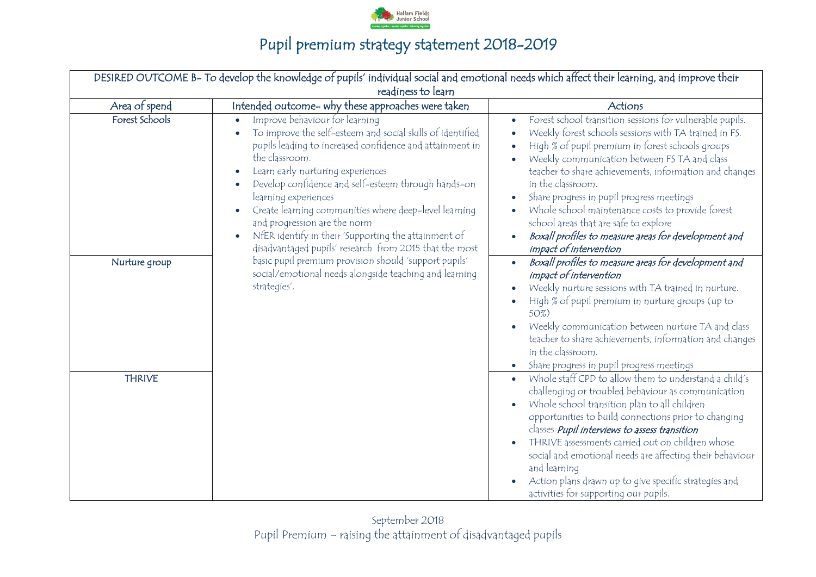

|                    | DESIRED OUTCOME B- To develop the knowledge of pupils' individual social and emotional needs which affect their learning, and improve their                                                                                                                                                                                                                                                                                                                                                                            |                                                                                                                                                                                                                                                                                                                                                                                                                                                                                                                                  |  |  |  |  |
|--------------------|------------------------------------------------------------------------------------------------------------------------------------------------------------------------------------------------------------------------------------------------------------------------------------------------------------------------------------------------------------------------------------------------------------------------------------------------------------------------------------------------------------------------|----------------------------------------------------------------------------------------------------------------------------------------------------------------------------------------------------------------------------------------------------------------------------------------------------------------------------------------------------------------------------------------------------------------------------------------------------------------------------------------------------------------------------------|--|--|--|--|
| readiness to learn |                                                                                                                                                                                                                                                                                                                                                                                                                                                                                                                        |                                                                                                                                                                                                                                                                                                                                                                                                                                                                                                                                  |  |  |  |  |
| Area of spend      | Intended outcome- why these approaches were taken                                                                                                                                                                                                                                                                                                                                                                                                                                                                      | Actions                                                                                                                                                                                                                                                                                                                                                                                                                                                                                                                          |  |  |  |  |
| Forest Schools     | Improve behaviour for learning<br>$\bullet$<br>To improve the self-esteem and social skills of identified<br>pupils leading to increased confidence and attainment in<br>the classroom.<br>Learn early nurturing experiences<br>Develop confidence and self-esteem through hands-on<br>learning experiences<br>Create learning communities where deep-level learning<br>and progression are the norm<br>NfER identify in their 'Supporting the attainment of<br>disadvantaged pupils' research from 2015 that the most | Forest school transition sessions for vulnerable pupils.<br>Weekly forest schools sessions with TA trained in FS.<br>High % of pupil premium in forest schools groups<br>Weekly communication between FS TA and class<br>teacher to share achievements, information and changes<br>in the classroom.<br>Share progress in pupil progress meetings<br>Whole school maintenance costs to provide forest<br>school areas that are safe to explore<br>Boxall profiles to measure areas for development and<br>impact of intervention |  |  |  |  |
| Nurture group      | basic pupil premium provision should 'support pupils'<br>social/emotional needs alongside teaching and learning<br>strategies'.                                                                                                                                                                                                                                                                                                                                                                                        | Boxall profiles to measure areas for development and<br>$\bullet$<br>impact of intervention<br>Weekly nurture sessions with TA trained in nurture.<br>High % of pupil premium in nurture groups (up to<br>50%)<br>Weekly communication between nurture TA and class<br>teacher to share achievements, information and changes<br>in the classroom.<br>Share progress in pupil progress meetings                                                                                                                                  |  |  |  |  |
| <b>THRIVE</b>      |                                                                                                                                                                                                                                                                                                                                                                                                                                                                                                                        | Whole staff CPD to allow them to understand a child's<br>challenging or troubled behaviour as communication<br>Whole school transition plan to all children<br>opportunities to build connections prior to changing<br>classes <i>Pupil interviews to assess transition</i><br>THRIVE assessments carried out on children whose<br>social and emotional needs are affecting their behaviour<br>and learning<br>Action plans drawn up to give specific strategies and<br>activities for supporting our pupils.                    |  |  |  |  |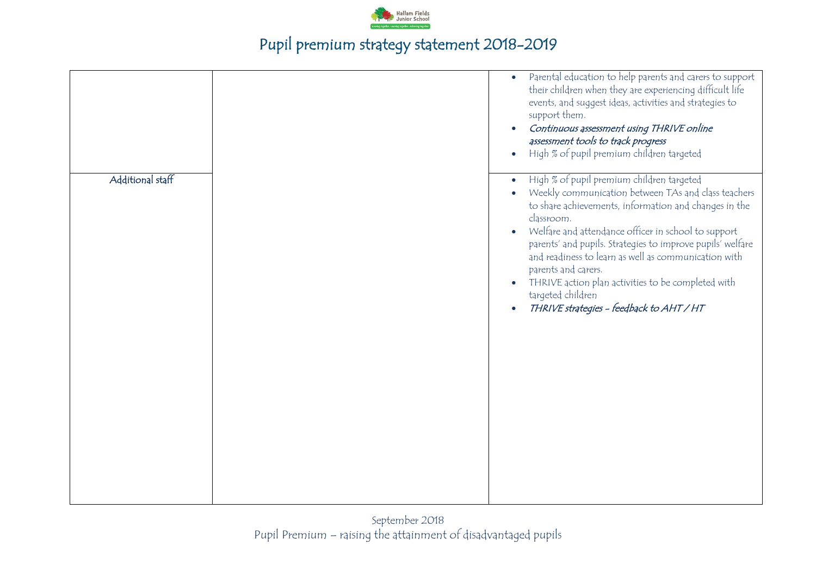

|                  | Parental education to help parents and carers to support<br>$\bullet$<br>their children when they are experiencing difficult life<br>events, and suggest ideas, activities and strategies to<br>support them.<br>Continuous assessment using THRIVE online<br>assessment tools to track progress<br>High % of pupil premium children targeted                                                                                                                                                      |
|------------------|----------------------------------------------------------------------------------------------------------------------------------------------------------------------------------------------------------------------------------------------------------------------------------------------------------------------------------------------------------------------------------------------------------------------------------------------------------------------------------------------------|
| Additional staff | High % of pupil premium children targeted<br>Weekly communication between TAs and class teachers<br>to share achievements, information and changes in the<br>classroom.<br>Welfare and attendance officer in school to support<br>parents' and pupils. Strategies to improve pupils' welfare<br>and readiness to learn as well as communication with<br>parents and carers.<br>THRIVE action plan activities to be completed with<br>targeted children<br>THRIVE strategies - feedback to AHT / HT |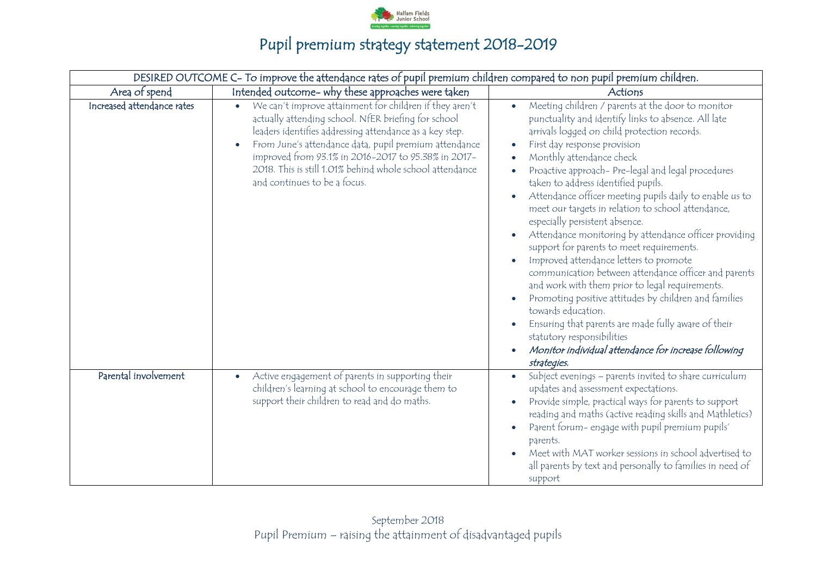

|                            | DESIRED OUTCOME C- To improve the attendance rates of pupil premium children compared to non pupil premium children.                                                                                                                                                                                                                                                                  |                                                                                                                                                                                                                                                                                                                                                                                                                                                                                                                                                                                                                                                                                                                                                                                                                                                                                                                                                                                                      |
|----------------------------|---------------------------------------------------------------------------------------------------------------------------------------------------------------------------------------------------------------------------------------------------------------------------------------------------------------------------------------------------------------------------------------|------------------------------------------------------------------------------------------------------------------------------------------------------------------------------------------------------------------------------------------------------------------------------------------------------------------------------------------------------------------------------------------------------------------------------------------------------------------------------------------------------------------------------------------------------------------------------------------------------------------------------------------------------------------------------------------------------------------------------------------------------------------------------------------------------------------------------------------------------------------------------------------------------------------------------------------------------------------------------------------------------|
| Area of spend              | Intended outcome- why these approaches were taken                                                                                                                                                                                                                                                                                                                                     | Actions                                                                                                                                                                                                                                                                                                                                                                                                                                                                                                                                                                                                                                                                                                                                                                                                                                                                                                                                                                                              |
| Increased attendance rates | We can't improve attainment for children if they aren't<br>actually attending school. NfER briefing for school<br>leaders identifies addressing attendance as a key step.<br>From June's attendance data, pupil premium attendance<br>improved from 93.1% in 2016-2017 to 95.38% in 2017-<br>2018. This is still 1.01% behind whole school attendance<br>and continues to be a focus. | Meeting children / parents at the door to monitor<br>$\bullet$<br>punctuality and identify links to absence. All late<br>arrivals logged on child protection records.<br>First day response provision<br>$\bullet$<br>Monthly attendance check<br>Proactive approach- Pre-legal and legal procedures<br>taken to address identified pupils.<br>Attendance officer meeting pupils daily to enable us to<br>meet our targets in relation to school attendance,<br>especially persistent absence.<br>Attendance monitoring by attendance officer providing<br>support for parents to meet requirements.<br>Improved attendance letters to promote<br>communication between attendance officer and parents<br>and work with them prior to legal requirements.<br>Promoting positive attitudes by children and families<br>towards education.<br>Ensuring that parents are made fully aware of their<br>statutory responsibilities<br>Monitor individual attendance for increase following<br>strategies. |
| Parental involvement       | Active engagement of parents in supporting their<br>$\bullet$<br>children's learning at school to encourage them to<br>support their children to read and do maths.                                                                                                                                                                                                                   | Subject evenings - parents invited to share curriculum<br>$\bullet$<br>updates and assessment expectations.<br>Provide simple, practical ways for parents to support<br>reading and maths (active reading skills and Mathletics)<br>Parent forum- engage with pupil premium pupils'<br>parents.<br>Meet with MAT worker sessions in school advertised to<br>all parents by text and personally to families in need of<br>support                                                                                                                                                                                                                                                                                                                                                                                                                                                                                                                                                                     |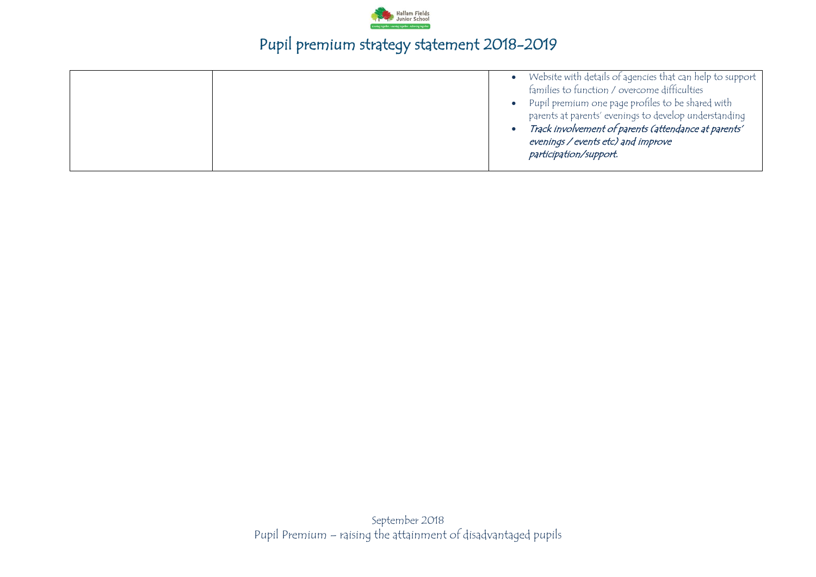

|  |  | Website with details of agencies that can help to support<br>families to function / overcome difficulties<br>Pupil premium one page profiles to be shared with<br>parents at parents' evenings to develop understanding<br>Track involvement of parents (attendance at parents'<br>evenings / events etc) and improve<br>participation/support. |
|--|--|-------------------------------------------------------------------------------------------------------------------------------------------------------------------------------------------------------------------------------------------------------------------------------------------------------------------------------------------------|
|--|--|-------------------------------------------------------------------------------------------------------------------------------------------------------------------------------------------------------------------------------------------------------------------------------------------------------------------------------------------------|

September 2018 Pupil Premium – raising the attainment of disadvantaged pupils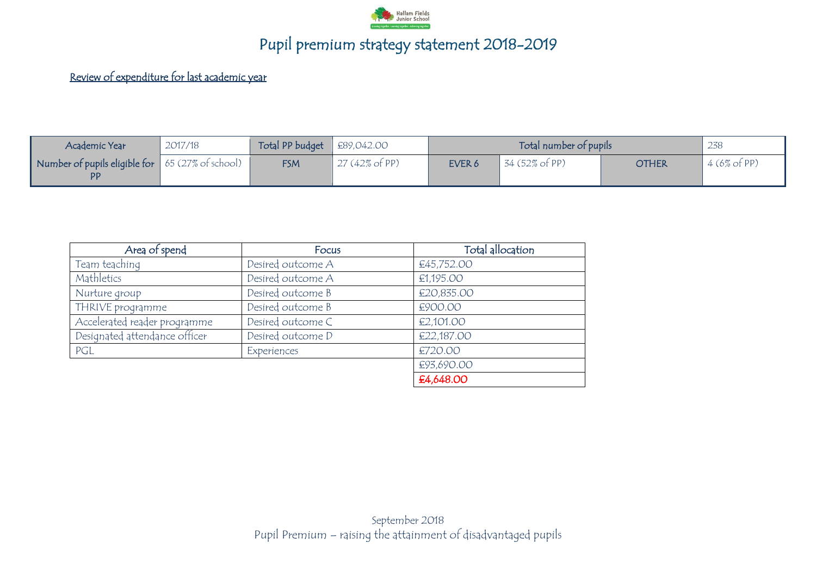

#### Review of expenditure for last academic year

| Academic Year                                                 | 2017/18 | Total PP budget $\Big $ £89,042.00 |                          |        | Total number of pupils |              | 238                    |
|---------------------------------------------------------------|---------|------------------------------------|--------------------------|--------|------------------------|--------------|------------------------|
| Number of pupils eligible for 65 (27% of school)<br><b>PP</b> |         | <b>FSM</b>                         | $27(42\% \text{ of PP})$ | EVER 6 | 34 (52% of PP)         | <b>OTHER</b> | $4(6\% \text{ of PP})$ |

| Area of spend                 | Focus             | Total allocation |
|-------------------------------|-------------------|------------------|
| Team teaching                 | Desired outcome A | €45,752.00       |
| Mathletics                    | Desired outcome A | €1,195.00        |
| Nurture group                 | Desired outcome B | €20,835.00       |
| THRIVE programme              | Desired outcome B | €900.00          |
| Accelerated reader programme  | Desired outcome C | €2,101.00        |
| Designated attendance officer | Desired outcome D | €22,187.00       |
| PGL                           | Experiences       | €720.00          |
|                               |                   | €93,690.00       |
|                               |                   | £4,648.00        |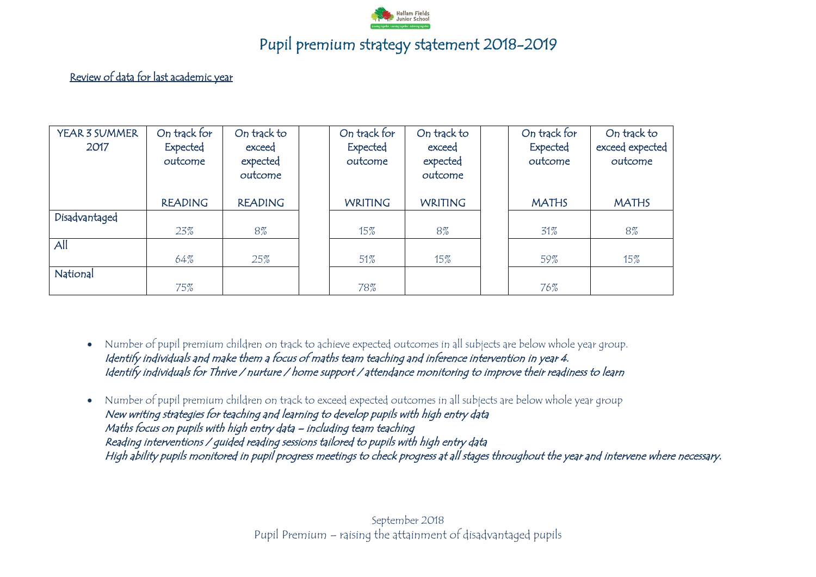

#### Review of data for last academic year

| YEAR 3 SUMMER | On track for   | On track to    | On track for   | On track to    | On track for | On track to     |
|---------------|----------------|----------------|----------------|----------------|--------------|-----------------|
| 2017          | Expected       | exceed         | Expected       | exceed         | Expected     | exceed expected |
|               | outcome        | expected       | outcome        | expected       | outcome      | outcome         |
|               |                | outcome        |                | outcome        |              |                 |
|               |                |                |                |                |              |                 |
|               | <b>READING</b> | <b>READING</b> | <b>WRITING</b> | <b>WRITING</b> | <b>MATHS</b> | <b>MATHS</b>    |
| Disadvantaged |                |                |                |                |              |                 |
|               | 23%            | 8%             | 15%            | 8%             | 31%          | 8%              |
| All           |                |                |                |                |              |                 |
|               | 64%            | 25%            | 51%            | $15\%$         | 59%          | $15\%$          |
| National      |                |                |                |                |              |                 |
|               | 75%            |                | 78%            |                | 76%          |                 |

- Number of pupil premium children on track to achieve expected outcomes in all subjects are below whole year group. Identify individuals and make them a focus of maths team teaching and inference intervention in year 4. Identify individuals for Thrive / nurture / home support / attendance monitoring to improve their readiness to learn
- Number of pupil premium children on track to exceed expected outcomes in all subjects are below whole year group New writing strategies for teaching and learning to develop pupils with high entry data Maths focus on pupils with high entry data – including team teaching Reading interventions / guided reading sessions tailored to pupils with high entry data High ability pupils monitored in pupil progress meetings to check progress at all stages throughout the year and intervene where necessary.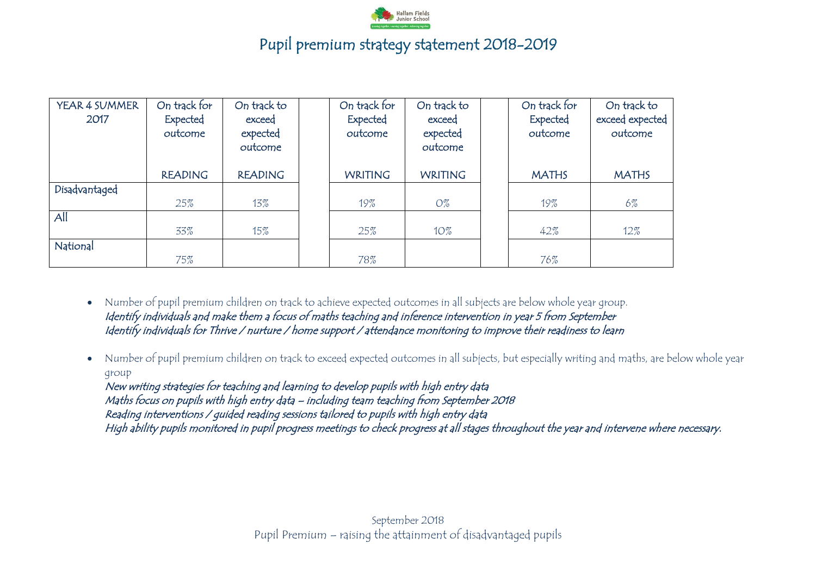

| YEAR 4 SUMMER<br>2017 | On track for<br>Expected<br>outcome | On track to<br>exceed<br>expected<br>outcome | On track for<br>Expected<br>outcome | On track to<br>exceed<br>expected<br>outcome | On track for<br><b>Expected</b><br>outcome | On track to<br>exceed expected<br>outcome |
|-----------------------|-------------------------------------|----------------------------------------------|-------------------------------------|----------------------------------------------|--------------------------------------------|-------------------------------------------|
|                       | <b>READING</b>                      | <b>READING</b>                               | <b>WRITING</b>                      | <b>WRITING</b>                               | <b>MATHS</b>                               | <b>MATHS</b>                              |
| Disadvantaged         |                                     |                                              |                                     |                                              |                                            |                                           |
|                       | 25%                                 | 13%                                          | 19%                                 | $O\%$                                        | 19%                                        | 6%                                        |
| All                   |                                     |                                              |                                     |                                              |                                            |                                           |
|                       | 33%                                 | 15%                                          | 25%                                 | $10\%$                                       | 42%                                        | $12\%$                                    |
| National              |                                     |                                              |                                     |                                              |                                            |                                           |
|                       | 75%                                 |                                              | 78%                                 |                                              | 76%                                        |                                           |

 Number of pupil premium children on track to achieve expected outcomes in all subjects are below whole year group. Identify individuals and make them a focus of maths teaching and inference intervention in year 5 from September Identify individuals for Thrive / nurture / home support / attendance monitoring to improve their readiness to learn

 Number of pupil premium children on track to exceed expected outcomes in all subjects, but especially writing and maths, are below whole year group

New writing strategies for teaching and learning to develop pupils with high entry data Maths focus on pupils with high entry data – including team teaching from September 2018 Reading interventions / guided reading sessions tailored to pupils with high entry data High ability pupils monitored in pupil progress meetings to check progress at all stages throughout the year and intervene where necessary.